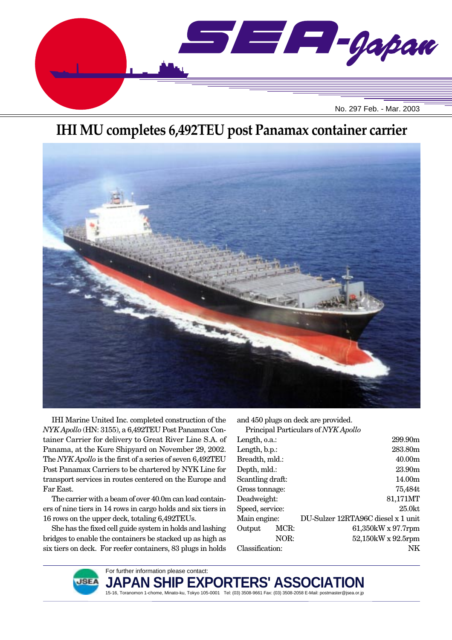

# **IHI MU completes 6,492TEU post Panamax container carrier**



IHI Marine United Inc. completed construction of the *NYK Apollo* (HN: 3155), a 6,492TEU Post Panamax Container Carrier for delivery to Great River Line S.A. of Panama, at the Kure Shipyard on November 29, 2002. The *NYK Apollo* is the first of a series of seven 6,492TEU Post Panamax Carriers to be chartered by NYK Line for transport services in routes centered on the Europe and Far East.

The carrier with a beam of over 40.0m can load containers of nine tiers in 14 rows in cargo holds and six tiers in 16 rows on the upper deck, totaling 6,492TEUs.

She has the fixed cell guide system in holds and lashing bridges to enable the containers be stacked up as high as six tiers on deck. For reefer containers, 83 plugs in holds and 450 plugs on deck are provided.

Principal Particulars of *NYK Apollo*

| Length, o.a.:    |      | 299.90m                            |
|------------------|------|------------------------------------|
| Length, b.p.:    |      | 283.80m                            |
| Breadth, mld.:   |      | 40.00 <sub>m</sub>                 |
| Depth, mld.:     |      | 23.90m                             |
| Scantling draft: |      | 14.00m                             |
| Gross tonnage:   |      | 75,484t                            |
| Deadweight:      |      | 81,171MT                           |
| Speed, service:  |      | $25.0$ kt                          |
| Main engine:     |      | DU-Sulzer 12RTA96C diesel x 1 unit |
| Output           | MCR: | $61,350$ kW x 97.7rpm              |
|                  | NOR: | 52,150kW x 92.5rpm                 |
| Classification:  |      | NΚ                                 |
|                  |      |                                    |



For further information please contact: JAPAN SHIP EXPORTERS' ASSO( 15-16, Toranomon 1-chome, Minato-ku, Tokyo 105-0001 Tel: (03) 3508-9661 Fax: (03) 3508-2058 E-Mail: postmaster@jsea.or.jp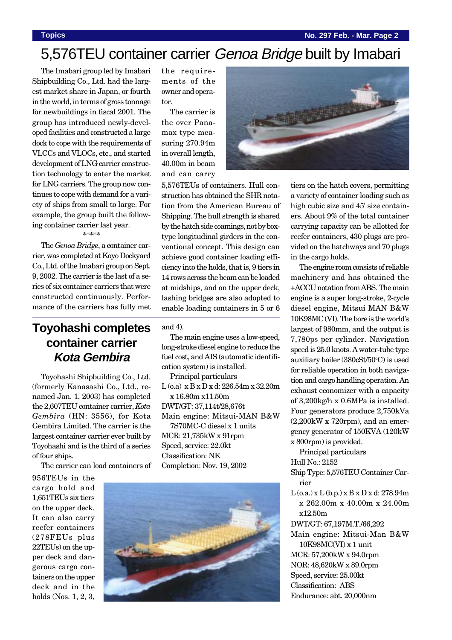**Topics No. 297 Feb. - Mar. Page 2**

# 5,576TEU container carrier Genoa Bridge built by Imabari

The Imabari group led by Imabari Shipbuilding Co., Ltd. had the largest market share in Japan, or fourth in the world, in terms of gross tonnage for newbuildings in fiscal 2001. The group has introduced newly-developed facilities and constructed a large dock to cope with the requirements of VLCCs and VLOCs, etc., and started development of LNG carrier construction technology to enter the market for LNG carriers. The group now continues to cope with demand for a variety of ships from small to large. For example, the group built the following container carrier last year.

### \*\*\*\*\*\*\*\*

The *Genoa Bridge*, a container carrier, was completed at Koyo Dockyard Co., Ltd. of the Imabari group on Sept. 9, 2002. The carrier is the last of a series of six container carriers that were constructed continuously. Performance of the carriers has fully met

## **Toyohashi completes container carrier Kota Gembira**

Toyohashi Shipbuilding Co., Ltd. (formerly Kanasashi Co., Ltd., renamed Jan. 1, 2003) has completed the 2,607TEU container carrier, *Kota Gembira* (HN: 3556), for Kota Gembira Limited. The carrier is the largest container carrier ever built by Toyohashi and is the third of a series of four ships.

The carrier can load containers of

956TEUs in the cargo hold and 1,651TEUs six tiers on the upper deck. It can also carry reefer containers (278FEUs plus 22TEUs) on the upper deck and dangerous cargo containers on the upper deck and in the holds (Nos. 1, 2, 3, the requirements of the owner and operator.

The carrier is the over Panamax type measuring 270.94m in overall length, 40.00m in beam and can carry



5,576TEUs of containers. Hull construction has obtained the SHR notation from the American Bureau of Shipping. The hull strength is shared by the hatch side coamings, not by boxtype longitudinal girders in the conventional concept. This design can achieve good container loading efficiency into the holds, that is, 9 tiers in 14 rows across the beam can be loaded at midships, and on the upper deck, lashing bridges are also adopted to enable loading containers in 5 or 6

and 4).

The main engine uses a low-speed, long-stroke diesel engine to reduce the fuel cost, and AIS (automatic identification system) is installed.

Principal particulars L (o.a) x B x D x d: 226.54m x 32.20m x 16.80m x11.50m DWT/GT: 37,114t/28,676t Main engine: Mitsui-MAN B&W 7S70MC-C diesel x 1 units MCR: 21,735kW x 91rpm Speed, service: 22.0kt Classification: NK Completion: Nov. 19, 2002



tiers on the hatch covers, permitting a variety of container loading such as high cubic size and 45' size containers. About 9% of the total container carrying capacity can be allotted for reefer containers, 430 plugs are provided on the hatchways and 70 plugs in the cargo holds.

The engine room consists of reliable machinery and has obtained the +ACCU notation from ABS. The main engine is a super long-stroke, 2-cycle diesel engine, Mitsui MAN B&W 10K98MC (VI). The bore is the world's largest of 980mm, and the output is 7,780ps per cylinder. Navigation speed is 25.0 knots. A water-tube type auxiliary boiler (380cSt/50°C) is used for reliable operation in both navigation and cargo handling operation. An exhaust economizer with a capacity of 3,200kg/h x 0.6MPa is installed. Four generators produce 2,750kVa (2,200kW x 720rpm), and an emergency generator of 150KVA (120kW x 800rpm) is provided.

Principal particulars

Hull No.: 2152

Ship Type: 5,576TEU Container Carrier

 $L$  (o.a.) x  $L$  (b.p.) x  $B$  x  $D$  x d: 278.94m x 262.00m x 40.00m x 24.00m x12.50m

DWT/GT: 67,197M.T./66,292

Main engine: Mitsui-Man B&W 10K98MC(VI) x 1 unit MCR: 57,200kW x 94.0rpm NOR: 48,620kW x 89.0rpm Speed, service: 25.00kt Classification: ABS

Endurance: abt. 20,000nm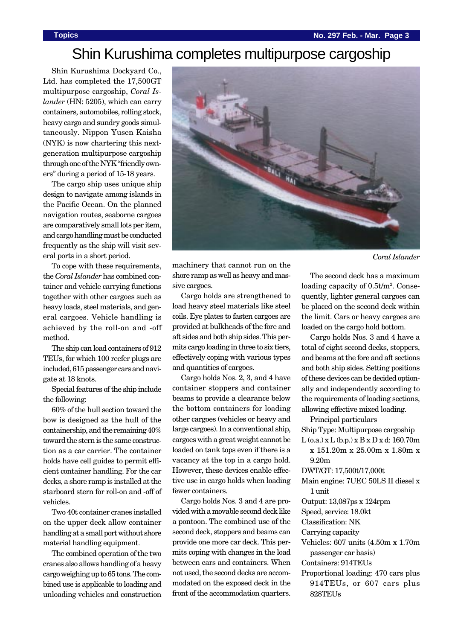# Shin Kurushima completes multipurpose cargoship

Shin Kurushima Dockyard Co., Ltd. has completed the 17,500GT multipurpose cargoship, *Coral Islander* (HN: 5205), which can carry containers, automobiles, rolling stock, heavy cargo and sundry goods simultaneously. Nippon Yusen Kaisha (NYK) is now chartering this nextgeneration multipurpose cargoship through one of the NYK "friendly owners" during a period of 15-18 years.

The cargo ship uses unique ship design to navigate among islands in the Pacific Ocean. On the planned navigation routes, seaborne cargoes are comparatively small lots per item, and cargo handling must be conducted frequently as the ship will visit several ports in a short period.

To cope with these requirements, the *Coral Islander* has combined container and vehicle carrying functions together with other cargoes such as heavy loads, steel materials, and general cargoes. Vehicle handling is achieved by the roll-on and -off method.

The ship can load containers of 912 TEUs, for which 100 reefer plugs are included, 615 passenger cars and navigate at 18 knots.

Special features of the ship include the following:

60% of the hull section toward the bow is designed as the hull of the containership, and the remaining 40% toward the stern is the same construction as a car carrier. The container holds have cell guides to permit efficient container handling. For the car decks, a shore ramp is installed at the starboard stern for roll-on and -off of vehicles.

Two 40t container cranes installed on the upper deck allow container handling at a small port without shore material handling equipment.

The combined operation of the two cranes also allows handling of a heavy cargo weighing up to 65 tons. The combined use is applicable to loading and unloading vehicles and construction



machinery that cannot run on the shore ramp as well as heavy and massive cargoes.

Cargo holds are strengthened to load heavy steel materials like steel coils. Eye plates to fasten cargoes are provided at bulkheads of the fore and aft sides and both ship sides. This permits cargo loading in three to six tiers, effectively coping with various types and quantities of cargoes.

Cargo holds Nos. 2, 3, and 4 have container stoppers and container beams to provide a clearance below the bottom containers for loading other cargoes (vehicles or heavy and large cargoes). In a conventional ship, cargoes with a great weight cannot be loaded on tank tops even if there is a vacancy at the top in a cargo hold. However, these devices enable effective use in cargo holds when loading fewer containers.

Cargo holds Nos. 3 and 4 are provided with a movable second deck like a pontoon. The combined use of the second deck, stoppers and beams can provide one more car deck. This permits coping with changes in the load between cars and containers. When not used, the second decks are accommodated on the exposed deck in the front of the accommodation quarters.

The second deck has a maximum loading capacity of 0.5t/m<sup>2</sup>. Consequently, lighter general cargoes can be placed on the second deck within the limit. Cars or heavy cargoes are loaded on the cargo hold bottom.

Cargo holds Nos. 3 and 4 have a total of eight second decks, stoppers, and beams at the fore and aft sections and both ship sides. Setting positions of these devices can be decided optionally and independently according to the requirements of loading sections, allowing effective mixed loading.

Principal particulars

Ship Type: Multipurpose cargoship

 $L$ (o.a.) x  $L$ (b.p.) x  $B$ x  $D$ x d: 160.70m x 151.20m x 25.00m x 1.80m x

9.20m

DWT/GT: 17,500t/17,000t

- Main engine: 7UEC 50LS II diesel x 1 unit
- Output: 13,087ps x 124rpm
- Speed, service: 18.0kt

Classification: NK

- Carrying capacity
- Vehicles: 607 units (4.50m x 1.70m passenger car basis)
- Containers: 914TEUs
- Proportional loading: 470 cars plus 914TEUs, or 607 cars plus 828TEUs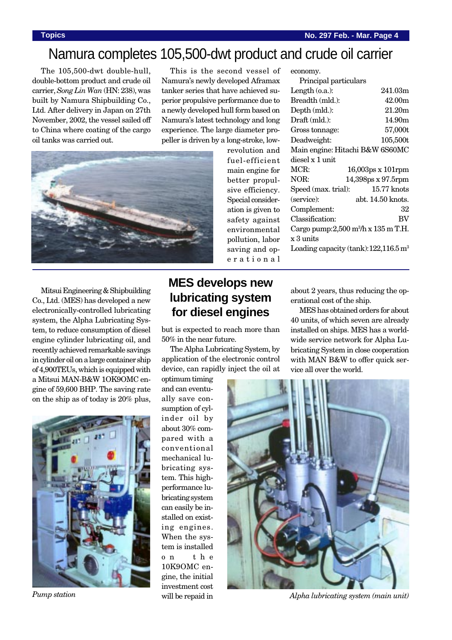Length (o.a.): 241.03m Breadth (mld.): 42.00m Depth (mld.): 21.20m Draft (mld.): 14.90m Gross tonnage: 57,000t Deadweight: 105,500t Main engine: Hitachi B&W 6S60MC

MCR: 16,003ps x 101rpm NOR: 14,398ps x 97.5rpm Speed (max. trial): 15.77 knots (service): abt. 14.50 knots. Complement: 32 Classification: BV Cargo pump:2,500 m3 /h x 135 m T.H.

Principal particulars

economy.

diesel x 1 unit

# Namura completes 105,500-dwt product and crude oil carrier

The 105,500-dwt double-hull, double-bottom product and crude oil carrier, *Song Lin Wan* (HN: 238), was built by Namura Shipbuilding Co., Ltd. After delivery in Japan on 27th November, 2002, the vessel sailed off to China where coating of the cargo oil tanks was carried out.

This is the second vessel of Namura's newly developed Aframax tanker series that have achieved superior propulsive performance due to a newly developed hull form based on Namura's latest technology and long experience. The large diameter propeller is driven by a long-stroke, low-

> revolution and fuel-efficient main engine for better propulsive efficiency. Special consideration is given to safety against environmental



Mitsui Engineering & Shipbuilding Co., Ltd. (MES) has developed a new electronically-controlled lubricating system, the Alpha Lubricating System, to reduce consumption of diesel engine cylinder lubricating oil, and recently achieved remarkable savings in cylinder oil on a large container ship of 4,900TEUs, which is equipped with a Mitsui MAN-B&W 1OK9OMC engine of 59,600 BHP. The saving rate on the ship as of today is 20% plus,



## **MES develops new lubricating system for diesel engines**

but is expected to reach more than 50% in the near future.

The Alpha Lubricating System, by application of the electronic control device, can rapidly inject the oil at

optimum timing and can eventually save consumption of cylinder oil by about 30% compared with a conventional mechanical lubricating system. This highperformance lubricating system can easily be installed on existing engines. When the system is installed on the 10K9OMC engine, the initial investment cost will be repaid in pollution, labor saving and operational Loading capacity (tank): 122,116.5 m<sup>3</sup>

x 3 units

about 2 years, thus reducing the operational cost of the ship.

MES has obtained orders for about 40 units, of which seven are already installed on ships. MES has a worldwide service network for Alpha Lubricating System in close cooperation with MAN B&W to offer quick service all over the world.



*Pump station Alpha lubricating system (main unit)*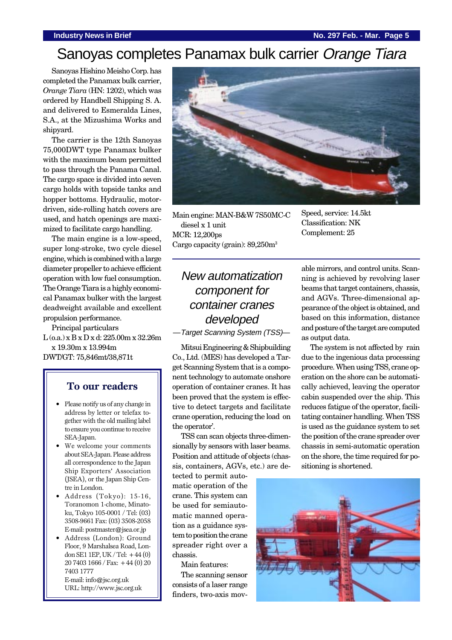### **Industry News in Brief No. 297 Feb. - Mar. Page 5**

# Sanoyas completes Panamax bulk carrier Orange Tiara

Sanoyas Hishino Meisho Corp. has completed the Panamax bulk carrier, *Orange Tiara* (HN: 1202), which was ordered by Handbell Shipping S. A. and delivered to Esmeralda Lines, S.A., at the Mizushima Works and shipyard.

The carrier is the 12th Sanoyas 75,000DWT type Panamax bulker with the maximum beam permitted to pass through the Panama Canal. The cargo space is divided into seven cargo holds with topside tanks and hopper bottoms. Hydraulic, motordriven, side-rolling hatch covers are used, and hatch openings are maximized to facilitate cargo handling.

The main engine is a low-speed, super long-stroke, two cycle diesel engine, which is combined with a large diameter propeller to achieve efficient operation with low fuel consumption. The Orange Tiara is a highly economical Panamax bulker with the largest deadweight available and excellent propulsion performance.

Principal particulars L (o.a.) x B x D x d: 225.00m x 32.26m x 19.30m x 13.994m DWT/GT: 75,846mt/38,871t

### **To our readers**

- Please notify us of any change in address by letter or telefax together with the old mailing label to ensure you continue to receive SEA-Japan.
- We welcome your comments about SEA-Japan. Please address all correspondence to the Japan Ship Exporters' Association (JSEA), or the Japan Ship Centre in London.
- Address (Tokyo): 15-16, Toranomon 1-chome, Minatoku, Tokyo 105-0001 / Tel: (03) 3508-9661 Fax: (03) 3508-2058 E-mail: postmaster@jsea.or.jp
- Address (London): Ground Floor, 9 Marshalsea Road, London SE1 1EP, UK / Tel:  $+44(0)$ 20 7403 1666 / Fax: +44 (0) 20 7403 1777 E-mail: info@jsc.org.uk URL: http://www.jsc.org.uk



Main engine: MAN-B&W 7S50MC-C diesel x 1 unit MCR: 12,200ps Cargo capacity (grain): 89,250m3

Speed, service: 14.5kt Classification: NK Complement: 25

## New automatization component for container cranes developed

—Target Scanning System (TSS)—

Mitsui Engineering & Shipbuilding Co., Ltd. (MES) has developed a Target Scanning System that is a component technology to automate onshore operation of container cranes. It has been proved that the system is effective to detect targets and facilitate crane operation, reducing the load on the operator'.

TSS can scan objects three-dimensionally by sensors with laser beams. Position and attitude of objects (chassis, containers, AGVs, etc.) are de-

tected to permit automatic operation of the crane. This system can be used for semiautomatic manned operation as a guidance system to position the crane spreader right over a chassis.

Main features:

The scanning sensor consists of a laser range finders, two-axis movable mirrors, and control units. Scanning is achieved by revolving laser beams that target containers, chassis, and AGVs. Three-dimensional appearance of the object is obtained, and based on this information, distance and posture of the target are computed as output data.

The system is not affected by rain due to the ingenious data processing procedure. When using TSS, crane operation on the shore can be automatically achieved, leaving the operator cabin suspended over the ship. This reduces fatigue of the operator, facilitating container handling. When TSS is used as the guidance system to set the position of the crane spreader over chassis in semi-automatic operation on the shore, the time required for positioning is shortened.